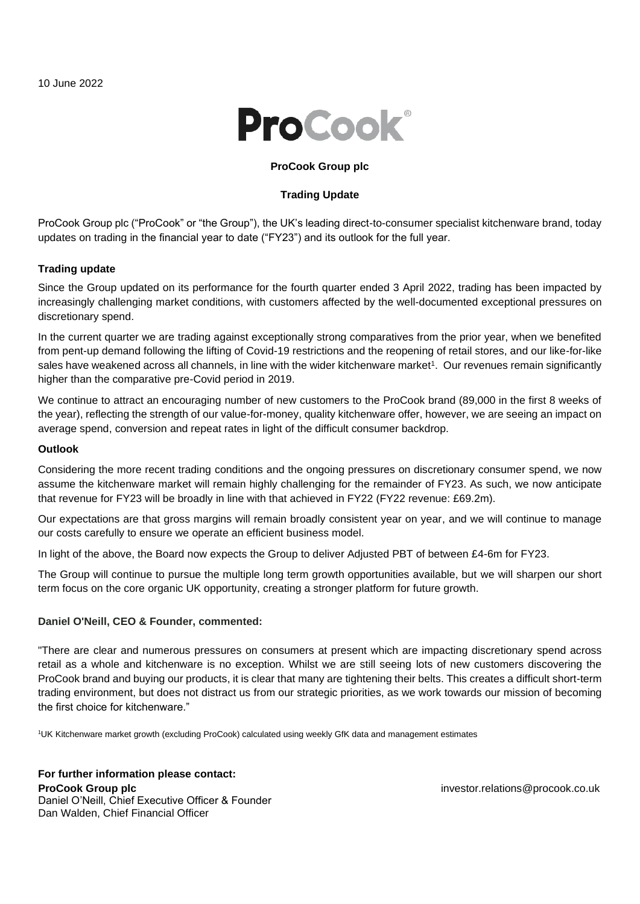

### **ProCook Group plc**

# **Trading Update**

ProCook Group plc ("ProCook" or "the Group"), the UK's leading direct-to-consumer specialist kitchenware brand, today updates on trading in the financial year to date ("FY23") and its outlook for the full year.

### **Trading update**

Since the Group updated on its performance for the fourth quarter ended 3 April 2022, trading has been impacted by increasingly challenging market conditions, with customers affected by the well-documented exceptional pressures on discretionary spend.

In the current quarter we are trading against exceptionally strong comparatives from the prior year, when we benefited from pent-up demand following the lifting of Covid-19 restrictions and the reopening of retail stores, and our like-for-like sales have weakened across all channels, in line with the wider kitchenware market<sup>1</sup>. Our revenues remain significantly higher than the comparative pre-Covid period in 2019.

We continue to attract an encouraging number of new customers to the ProCook brand (89,000 in the first 8 weeks of the year), reflecting the strength of our value-for-money, quality kitchenware offer, however, we are seeing an impact on average spend, conversion and repeat rates in light of the difficult consumer backdrop.

#### **Outlook**

Considering the more recent trading conditions and the ongoing pressures on discretionary consumer spend, we now assume the kitchenware market will remain highly challenging for the remainder of FY23. As such, we now anticipate that revenue for FY23 will be broadly in line with that achieved in FY22 (FY22 revenue: £69.2m).

Our expectations are that gross margins will remain broadly consistent year on year, and we will continue to manage our costs carefully to ensure we operate an efficient business model.

In light of the above, the Board now expects the Group to deliver Adjusted PBT of between £4-6m for FY23.

The Group will continue to pursue the multiple long term growth opportunities available, but we will sharpen our short term focus on the core organic UK opportunity, creating a stronger platform for future growth.

#### **Daniel O'Neill, CEO & Founder, commented:**

"There are clear and numerous pressures on consumers at present which are impacting discretionary spend across retail as a whole and kitchenware is no exception. Whilst we are still seeing lots of new customers discovering the ProCook brand and buying our products, it is clear that many are tightening their belts. This creates a difficult short-term trading environment, but does not distract us from our strategic priorities, as we work towards our mission of becoming the first choice for kitchenware."

<sup>1</sup>UK Kitchenware market growth (excluding ProCook) calculated using weekly GfK data and management estimates

**For further information please contact: ProCook Group plc** Daniel O'Neill, Chief Executive Officer & Founder Dan Walden, Chief Financial Officer

investor.relations@procook.co.uk